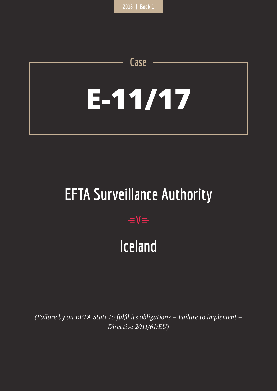# **E-11/17**

**Case**

# **EFTA Surveillance Authority**

## $=$ **V** $=$

## **Iceland**

*(Failure by an EFTA State to fulfil its obligations – Failure to implement – Directive 2011/61/EU)*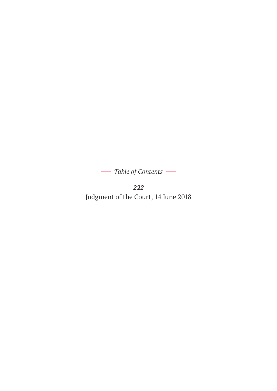$-$  Table of Contents –

*222* Judgment of the Court, 14 June 2018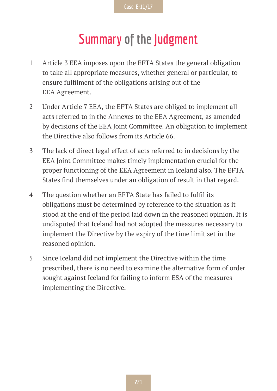## **Summary of the Judgment**

- 1 Article 3 EEA imposes upon the EFTA States the general obligation to take all appropriate measures, whether general or particular, to ensure fulfilment of the obligations arising out of the EEA Agreement.
- 2 Under Article 7 EEA, the EFTA States are obliged to implement all acts referred to in the Annexes to the EEA Agreement, as amended by decisions of the EEA Joint Committee. An obligation to implement the Directive also follows from its Article 66.
- 3 The lack of direct legal effect of acts referred to in decisions by the EEA Joint Committee makes timely implementation crucial for the proper functioning of the EEA Agreement in Iceland also. The EFTA States find themselves under an obligation of result in that regard.
- 4 The question whether an EFTA State has failed to fulfil its obligations must be determined by reference to the situation as it stood at the end of the period laid down in the reasoned opinion. It is undisputed that Iceland had not adopted the measures necessary to implement the Directive by the expiry of the time limit set in the reasoned opinion.
- 5 Since Iceland did not implement the Directive within the time prescribed, there is no need to examine the alternative form of order sought against Iceland for failing to inform ESA of the measures implementing the Directive.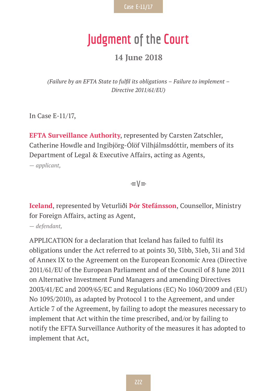## **Judgment of the Court**

#### **14 June 2018**

*(Failure by an EFTA State to fulfil its obligations – Failure to implement – Directive 2011/61/EU)*

In Case E-11/17,

**EFTA Surveillance Authority**, represented by Carsten Zatschler, Catherine Howdle and Ingibjörg-Ólöf Vilhjálmsdóttir, members of its Department of Legal & Executive Affairs, acting as Agents,

*— applicant,*

 $=$ V $=$ 

**Iceland**, represented by Veturliði **Þór Stefánsson**, Counsellor, Ministry for Foreign Affairs, acting as Agent,

*— defendant,*

APPLICATION for a declaration that Iceland has failed to fulfil its obligations under the Act referred to at points 30, 31bb, 31eb, 31i and 31d of Annex IX to the Agreement on the European Economic Area (Directive 2011/61/EU of the European Parliament and of the Council of 8 June 2011 on Alternative Investment Fund Managers and amending Directives 2003/41/EC and 2009/65/EC and Regulations (EC) No 1060/2009 and (EU) No 1095/2010), as adapted by Protocol 1 to the Agreement, and under Article 7 of the Agreement, by failing to adopt the measures necessary to implement that Act within the time prescribed, and/or by failing to notify the EFTA Surveillance Authority of the measures it has adopted to implement that Act,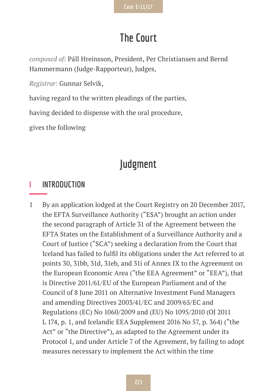## **The Court**

*composed of:* Páll Hreinsson, President, Per Christiansen and Bernd Hammermann (Judge-Rapporteur), Judges,

*Registrar:* Gunnar Selvik,

having regard to the written pleadings of the parties,

having decided to dispense with the oral procedure,

gives the following

## **Judgment**

### **I INTRODUCTION**

1 By an application lodged at the Court Registry on 20 December 2017, the EFTA Surveillance Authority ("ESA") brought an action under the second paragraph of Article 31 of the Agreement between the EFTA States on the Establishment of a Surveillance Authority and a Court of Justice ("SCA") seeking a declaration from the Court that Iceland has failed to fulfil its obligations under the Act referred to at points 30, 31bb, 31d, 31eb, and 31i of Annex IX to the Agreement on the European Economic Area ("the EEA Agreement" or "EEA"), that is Directive 2011/61/EU of the European Parliament and of the Council of 8 June 2011 on Alternative Investment Fund Managers and amending Directives 2003/41/EC and 2009/65/EC and Regulations (EC) No 1060/2009 and (EU) No 1095/2010 (OJ 2011 L 174, p. 1, and Icelandic EEA Supplement 2016 No 57, p. 364) ("the Act" or "the Directive"), as adapted to the Agreement under its Protocol 1, and under Article 7 of the Agreement, by failing to adopt measures necessary to implement the Act within the time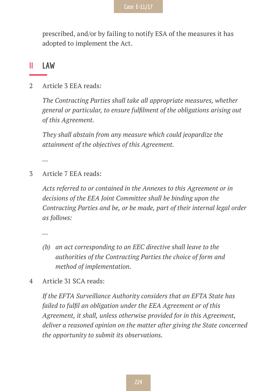prescribed, and/or by failing to notify ESA of the measures it has adopted to implement the Act.

#### **II LAW**

2 Article 3 EEA reads:

*The Contracting Parties shall take all appropriate measures, whether general or particular, to ensure fulfilment of the obligations arising out of this Agreement.*

*They shall abstain from any measure which could jeopardize the attainment of the objectives of this Agreement.*

*…*

3 Article 7 EEA reads:

*Acts referred to or contained in the Annexes to this Agreement or in decisions of the EEA Joint Committee shall be binding upon the Contracting Parties and be, or be made, part of their internal legal order as follows:*

*…*

- *(b) an act corresponding to an EEC directive shall leave to the authorities of the Contracting Parties the choice of form and method of implementation.*
- 4 Article 31 SCA reads:

*If the EFTA Surveillance Authority considers that an EFTA State has failed to fulfil an obligation under the EEA Agreement or of this Agreement, it shall, unless otherwise provided for in this Agreement, deliver a reasoned opinion on the matter after giving the State concerned the opportunity to submit its observations.*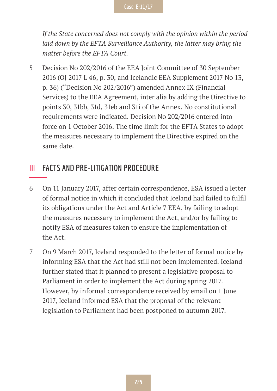*If the State concerned does not comply with the opinion within the period*  laid down by the EFTA Surveillance Authority, the latter may bring the *matter before the EFTA Court.*

5 Decision No 202/2016 of the EEA Joint Committee of 30 September 2016 (OJ 2017 L 46, p. 30, and Icelandic EEA Supplement 2017 No 13, p. 36) ("Decision No 202/2016") amended Annex IX (Financial Services) to the EEA Agreement, inter alia by adding the Directive to points 30, 31bb, 31d, 31eb and 31i of the Annex. No constitutional requirements were indicated. Decision No 202/2016 entered into force on 1 October 2016. The time limit for the EFTA States to adopt the measures necessary to implement the Directive expired on the same date.

### **III FACTS AND PRE-LITIGATION PROCEDURE**

- 6 On 11 January 2017, after certain correspondence, ESA issued a letter of formal notice in which it concluded that Iceland had failed to fulfil its obligations under the Act and Article 7 EEA, by failing to adopt the measures necessary to implement the Act, and/or by failing to notify ESA of measures taken to ensure the implementation of the Act.
- 7 On 9 March 2017, Iceland responded to the letter of formal notice by informing ESA that the Act had still not been implemented. Iceland further stated that it planned to present a legislative proposal to Parliament in order to implement the Act during spring 2017. However, by informal correspondence received by email on 1 June 2017, Iceland informed ESA that the proposal of the relevant legislation to Parliament had been postponed to autumn 2017.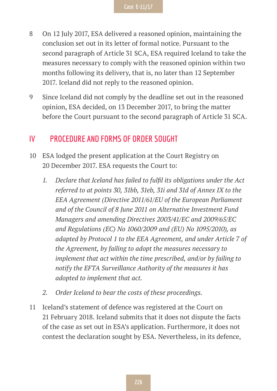- 8 On 12 July 2017, ESA delivered a reasoned opinion, maintaining the conclusion set out in its letter of formal notice. Pursuant to the second paragraph of Article 31 SCA, ESA required Iceland to take the measures necessary to comply with the reasoned opinion within two months following its delivery, that is, no later than 12 September 2017. Iceland did not reply to the reasoned opinion.
- 9 Since Iceland did not comply by the deadline set out in the reasoned opinion, ESA decided, on 13 December 2017, to bring the matter before the Court pursuant to the second paragraph of Article 31 SCA.

#### **IV PROCEDURE AND FORMS OF ORDER SOUGHT**

- 10 ESA lodged the present application at the Court Registry on 20 December 2017. ESA requests the Court to:
	- *1. Declare that Iceland has failed to fulfil its obligations under the Act referred to at points 30, 31bb, 31eb, 31i and 31d of Annex IX to the EEA Agreement (Directive 2011/61/EU of the European Parliament and of the Council of 8 June 2011 on Alternative Investment Fund Managers and amending Directives 2003/41/EC and 2009/65/EC and Regulations (EC) No 1060/2009 and (EU) No 1095/2010), as adapted by Protocol 1 to the EEA Agreement, and under Article 7 of the Agreement, by failing to adopt the measures necessary to implement that act within the time prescribed, and/or by failing to notify the EFTA Surveillance Authority of the measures it has adopted to implement that act.*
	- *2. Order Iceland to bear the costs of these proceedings.*
- 11 Iceland's statement of defence was registered at the Court on 21 February 2018. Iceland submits that it does not dispute the facts of the case as set out in ESA's application. Furthermore, it does not contest the declaration sought by ESA. Nevertheless, in its defence,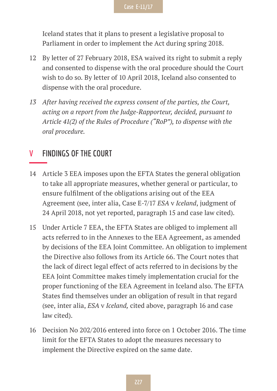Iceland states that it plans to present a legislative proposal to Parliament in order to implement the Act during spring 2018.

- 12 By letter of 27 February 2018, ESA waived its right to submit a reply and consented to dispense with the oral procedure should the Court wish to do so. By letter of 10 April 2018, Iceland also consented to dispense with the oral procedure.
- *13 After having received the express consent of the parties, the Court, acting on a report from the Judge-Rapporteur, decided, pursuant to Article 41(2) of the Rules of Procedure ("RoP"), to dispense with the oral procedure.*

#### **V FINDINGS OF THE COURT**

- 14 Article 3 EEA imposes upon the EFTA States the general obligation to take all appropriate measures, whether general or particular, to ensure fulfilment of the obligations arising out of the EEA Agreement (see, inter alia, Case E-7/17 *ESA* v *Iceland*, judgment of 24 April 2018, not yet reported, paragraph 15 and case law cited).
- 15 Under Article 7 EEA, the EFTA States are obliged to implement all acts referred to in the Annexes to the EEA Agreement, as amended by decisions of the EEA Joint Committee. An obligation to implement the Directive also follows from its Article 66. The Court notes that the lack of direct legal effect of acts referred to in decisions by the EEA Joint Committee makes timely implementation crucial for the proper functioning of the EEA Agreement in Iceland also. The EFTA States find themselves under an obligation of result in that regard (see, inter alia, *ESA* v *Iceland,* cited above, paragraph 16 and case law cited).
- 16 Decision No 202/2016 entered into force on 1 October 2016. The time limit for the EFTA States to adopt the measures necessary to implement the Directive expired on the same date.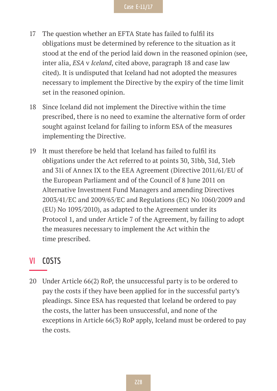- 17 The question whether an EFTA State has failed to fulfil its obligations must be determined by reference to the situation as it stood at the end of the period laid down in the reasoned opinion (see, inter alia, *ESA* v *Iceland*, cited above, paragraph 18 and case law cited). It is undisputed that Iceland had not adopted the measures necessary to implement the Directive by the expiry of the time limit set in the reasoned opinion.
- 18 Since Iceland did not implement the Directive within the time prescribed, there is no need to examine the alternative form of order sought against Iceland for failing to inform ESA of the measures implementing the Directive.
- 19 It must therefore be held that Iceland has failed to fulfil its obligations under the Act referred to at points 30, 31bb, 31d, 31eb and 31i of Annex IX to the EEA Agreement (Directive 2011/61/EU of the European Parliament and of the Council of 8 June 2011 on Alternative Investment Fund Managers and amending Directives 2003/41/EC and 2009/65/EC and Regulations (EC) No 1060/2009 and (EU) No 1095/2010), as adapted to the Agreement under its Protocol 1, and under Article 7 of the Agreement, by failing to adopt the measures necessary to implement the Act within the time prescribed.

#### **VI COSTS**

20 Under Article 66(2) RoP, the unsuccessful party is to be ordered to pay the costs if they have been applied for in the successful party's pleadings. Since ESA has requested that Iceland be ordered to pay the costs, the latter has been unsuccessful, and none of the exceptions in Article 66(3) RoP apply, Iceland must be ordered to pay the costs.